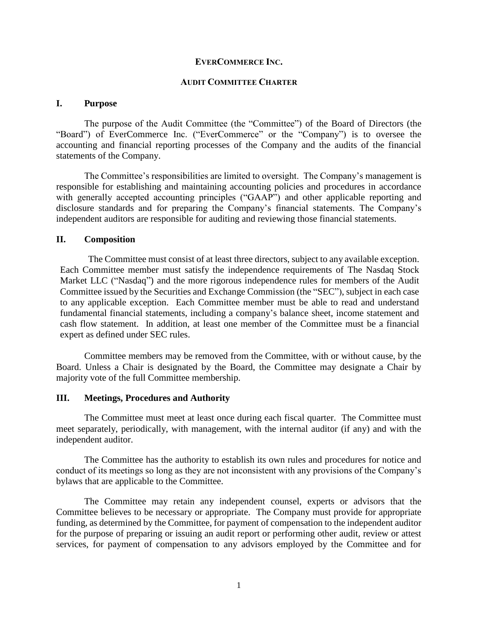### **EVERCOMMERCE INC.**

#### **AUDIT COMMITTEE CHARTER**

### **I. Purpose**

The purpose of the Audit Committee (the "Committee") of the Board of Directors (the "Board") of EverCommerce Inc. ("EverCommerce" or the "Company") is to oversee the accounting and financial reporting processes of the Company and the audits of the financial statements of the Company.

The Committee's responsibilities are limited to oversight. The Company's management is responsible for establishing and maintaining accounting policies and procedures in accordance with generally accepted accounting principles ("GAAP") and other applicable reporting and disclosure standards and for preparing the Company's financial statements. The Company's independent auditors are responsible for auditing and reviewing those financial statements.

### **II. Composition**

The Committee must consist of at least three directors, subject to any available exception. Each Committee member must satisfy the independence requirements of The Nasdaq Stock Market LLC ("Nasdaq") and the more rigorous independence rules for members of the Audit Committee issued by the Securities and Exchange Commission (the "SEC"), subject in each case to any applicable exception. Each Committee member must be able to read and understand fundamental financial statements, including a company's balance sheet, income statement and cash flow statement. In addition, at least one member of the Committee must be a financial expert as defined under SEC rules.

Committee members may be removed from the Committee, with or without cause, by the Board. Unless a Chair is designated by the Board, the Committee may designate a Chair by majority vote of the full Committee membership.

### **III. Meetings, Procedures and Authority**

The Committee must meet at least once during each fiscal quarter. The Committee must meet separately, periodically, with management, with the internal auditor (if any) and with the independent auditor.

The Committee has the authority to establish its own rules and procedures for notice and conduct of its meetings so long as they are not inconsistent with any provisions of the Company's bylaws that are applicable to the Committee.

The Committee may retain any independent counsel, experts or advisors that the Committee believes to be necessary or appropriate. The Company must provide for appropriate funding, as determined by the Committee, for payment of compensation to the independent auditor for the purpose of preparing or issuing an audit report or performing other audit, review or attest services, for payment of compensation to any advisors employed by the Committee and for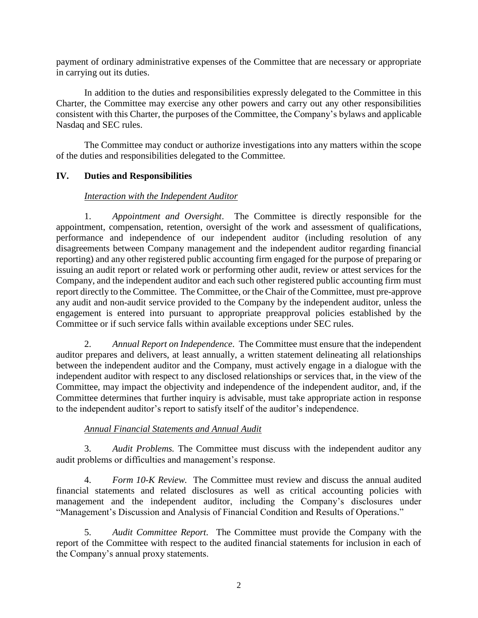payment of ordinary administrative expenses of the Committee that are necessary or appropriate in carrying out its duties.

In addition to the duties and responsibilities expressly delegated to the Committee in this Charter, the Committee may exercise any other powers and carry out any other responsibilities consistent with this Charter, the purposes of the Committee, the Company's bylaws and applicable Nasdaq and SEC rules.

The Committee may conduct or authorize investigations into any matters within the scope of the duties and responsibilities delegated to the Committee.

## **IV. Duties and Responsibilities**

### *Interaction with the Independent Auditor*

1. *Appointment and Oversight*.The Committee is directly responsible for the appointment, compensation, retention, oversight of the work and assessment of qualifications, performance and independence of our independent auditor (including resolution of any disagreements between Company management and the independent auditor regarding financial reporting) and any other registered public accounting firm engaged for the purpose of preparing or issuing an audit report or related work or performing other audit, review or attest services for the Company, and the independent auditor and each such other registered public accounting firm must report directly to the Committee. The Committee, or the Chair of the Committee, must pre-approve any audit and non-audit service provided to the Company by the independent auditor, unless the engagement is entered into pursuant to appropriate preapproval policies established by the Committee or if such service falls within available exceptions under SEC rules.

2. *Annual Report on Independence*. The Committee must ensure that the independent auditor prepares and delivers, at least annually, a written statement delineating all relationships between the independent auditor and the Company, must actively engage in a dialogue with the independent auditor with respect to any disclosed relationships or services that, in the view of the Committee, may impact the objectivity and independence of the independent auditor, and, if the Committee determines that further inquiry is advisable, must take appropriate action in response to the independent auditor's report to satisfy itself of the auditor's independence.

### *Annual Financial Statements and Annual Audit*

3. *Audit Problems.* The Committee must discuss with the independent auditor any audit problems or difficulties and management's response.

4. *Form 10-K Review.* The Committee must review and discuss the annual audited financial statements and related disclosures as well as critical accounting policies with management and the independent auditor, including the Company's disclosures under "Management's Discussion and Analysis of Financial Condition and Results of Operations."

5. *Audit Committee Report.* The Committee must provide the Company with the report of the Committee with respect to the audited financial statements for inclusion in each of the Company's annual proxy statements.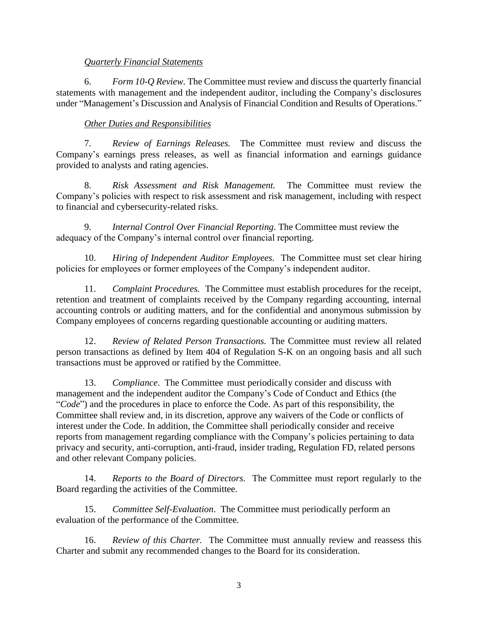### *Quarterly Financial Statements*

6. *Form 10-Q Review.* The Committee must review and discuss the quarterly financial statements with management and the independent auditor, including the Company's disclosures under "Management's Discussion and Analysis of Financial Condition and Results of Operations."

# *Other Duties and Responsibilities*

7. *Review of Earnings Releases.* The Committee must review and discuss the Company's earnings press releases, as well as financial information and earnings guidance provided to analysts and rating agencies.

8. *Risk Assessment and Risk Management.* The Committee must review the Company's policies with respect to risk assessment and risk management, including with respect to financial and cybersecurity-related risks.

9. *Internal Control Over Financial Reporting*. The Committee must review the adequacy of the Company's internal control over financial reporting.

10. *Hiring of Independent Auditor Employees.* The Committee must set clear hiring policies for employees or former employees of the Company's independent auditor.

11. *Complaint Procedures.* The Committee must establish procedures for the receipt, retention and treatment of complaints received by the Company regarding accounting, internal accounting controls or auditing matters, and for the confidential and anonymous submission by Company employees of concerns regarding questionable accounting or auditing matters.

12. *Review of Related Person Transactions.* The Committee must review all related person transactions as defined by Item 404 of Regulation S-K on an ongoing basis and all such transactions must be approved or ratified by the Committee.

13. *Compliance*. The Committee must periodically consider and discuss with management and the independent auditor the Company's Code of Conduct and Ethics (the "*Code*") and the procedures in place to enforce the Code. As part of this responsibility, the Committee shall review and, in its discretion, approve any waivers of the Code or conflicts of interest under the Code. In addition, the Committee shall periodically consider and receive reports from management regarding compliance with the Company's policies pertaining to data privacy and security, anti-corruption, anti-fraud, insider trading, Regulation FD, related persons and other relevant Company policies.

14. *Reports to the Board of Directors.* The Committee must report regularly to the Board regarding the activities of the Committee.

15. *Committee Self-Evaluation*. The Committee must periodically perform an evaluation of the performance of the Committee.

16. *Review of this Charter.* The Committee must annually review and reassess this Charter and submit any recommended changes to the Board for its consideration.